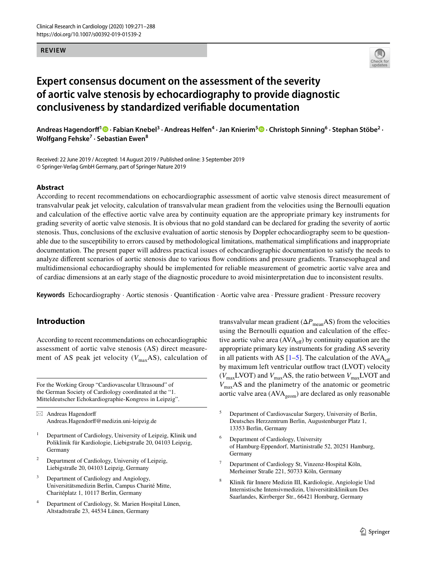#### **REVIEW**



# **Expert consensus document on the assessment of the severity of aortic valve stenosis by echocardiography to provide diagnostic conclusiveness by standardized verifable documentation**

AndreasHagendorff<sup>1</sup> <sup>1</sup> Fabian Knebel<sup>3</sup> · Andreas Helfen<sup>4</sup> · Jan Knierim<sup>5</sup> D · Christoph Sinning<sup>6</sup> · Stephan Stöbe<sup>2</sup> · **Wolfgang Fehske<sup>7</sup> · Sebastian Ewen8**

Received: 22 June 2019 / Accepted: 14 August 2019 / Published online: 3 September 2019 © Springer-Verlag GmbH Germany, part of Springer Nature 2019

#### **Abstract**

According to recent recommendations on echocardiographic assessment of aortic valve stenosis direct measurement of transvalvular peak jet velocity, calculation of transvalvular mean gradient from the velocities using the Bernoulli equation and calculation of the efective aortic valve area by continuity equation are the appropriate primary key instruments for grading severity of aortic valve stenosis. It is obvious that no gold standard can be declared for grading the severity of aortic stenosis. Thus, conclusions of the exclusive evaluation of aortic stenosis by Doppler echocardiography seem to be questionable due to the susceptibility to errors caused by methodological limitations, mathematical simplifcations and inappropriate documentation. The present paper will address practical issues of echocardiographic documentation to satisfy the needs to analyze diferent scenarios of aortic stenosis due to various fow conditions and pressure gradients. Transesophageal and multidimensional echocardiography should be implemented for reliable measurement of geometric aortic valve area and of cardiac dimensions at an early stage of the diagnostic procedure to avoid misinterpretation due to inconsistent results.

**Keywords** Echocardiography · Aortic stenosis · Quantifcation · Aortic valve area · Pressure gradient · Pressure recovery

## **Introduction**

According to recent recommendations on echocardiographic assessment of aortic valve stenosis (AS) direct measurement of AS peak jet velocity  $(V_{\text{max}}AS)$ , calculation of

For the Working Group "Cardiovascular Ultrasound" of the German Society of Cardiology coordinated at the "1. Mitteldeutscher Echokardiographie-Kongress in Leipzig".

 $\boxtimes$  Andreas Hagendorff Andreas.Hagendorf@medizin.uni-leipzig.de

- <sup>1</sup> Department of Cardiology, University of Leipzig, Klinik und Poliklinik für Kardiologie, Liebigstraße 20, 04103 Leipzig, Germany
- <sup>2</sup> Department of Cardiology, University of Leipzig, Liebigstraße 20, 04103 Leipzig, Germany
- <sup>3</sup> Department of Cardiology and Angiology, Universitätsmedizin Berlin, Campus Charité Mitte, Charitéplatz 1, 10117 Berlin, Germany
- Department of Cardiology, St. Marien Hospital Lünen, Altstadtstraße 23, 44534 Lünen, Germany

transvalvular mean gradient ( $\Delta P_{\text{mean}}$ AS) from the velocities using the Bernoulli equation and calculation of the efective aortic valve area (AVAef) by continuity equation are the appropriate primary key instruments for grading AS severity in all patients with AS  $[1-5]$  $[1-5]$  $[1-5]$ . The calculation of the AVA<sub>eff</sub> by maximum left ventricular outflow tract (LVOT) velocity  $(V_{\text{max}}LVOT)$  and  $V_{\text{max}}AS$ , the ratio between  $V_{\text{max}}LVOT$  and *V*maxAS and the planimetry of the anatomic or geometric aortic valve area  $(AVA_{\text{geom}})$  are declared as only reasonable

- <sup>5</sup> Department of Cardiovascular Surgery, University of Berlin, Deutsches Herzzentrum Berlin, Augustenburger Platz 1, 13353 Berlin, Germany
- <sup>6</sup> Department of Cardiology, University of Hamburg-Eppendorf, Martinistraße 52, 20251 Hamburg, Germany
- Department of Cardiology St, Vinzenz-Hospital Köln, Merheimer Straße 221, 50733 Köln, Germany
- <sup>8</sup> Klinik für Innere Medizin III, Kardiologie, Angiologie Und Internistische Intensivmedizin, Universitätsklinikum Des Saarlandes, Kirrberger Str., 66421 Homburg, Germany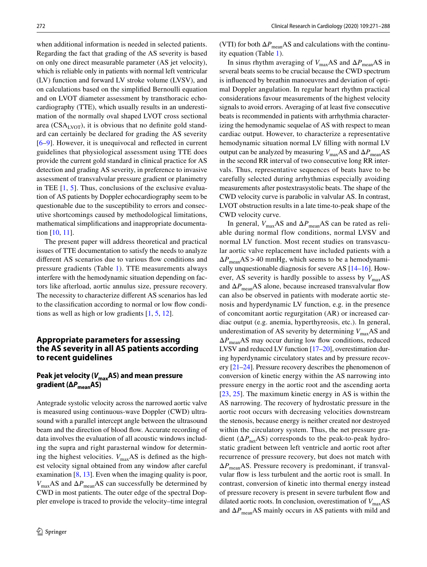when additional information is needed in selected patients. Regarding the fact that grading of the AS severity is based on only one direct measurable parameter (AS jet velocity), which is reliable only in patients with normal left ventricular (LV) function and forward LV stroke volume (LVSV), and on calculations based on the simplifed Bernoulli equation and on LVOT diameter assessment by transthoracic echocardiography (TTE), which usually results in an underestimation of the normally oval shaped LVOT cross sectional area (CSA<sub>LVOT</sub>), it is obvious that no definite gold standard can certainly be declared for grading the AS severity [\[6–](#page-15-0)[9\]](#page-15-1). However, it is unequivocal and refected in current guidelines that physiological assessment using TTE does provide the current gold standard in clinical practice for AS detection and grading AS severity, in preference to invasive assessment of transvalvular pressure gradient or planimetry in TEE  $[1, 5]$  $[1, 5]$  $[1, 5]$  $[1, 5]$ . Thus, conclusions of the exclusive evaluation of AS patients by Doppler echocardiography seem to be questionable due to the susceptibility to errors and consecutive shortcomings caused by methodological limitations, mathematical simplifcations and inappropriate documentation [[10,](#page-15-2) [11\]](#page-15-3).

The present paper will address theoretical and practical issues of TTE documentation to satisfy the needs to analyze different AS scenarios due to various flow conditions and pressure gradients (Table [1](#page-2-0)). TTE measurements always interfere with the hemodynamic situation depending on factors like afterload, aortic annulus size, pressure recovery. The necessity to characterize diferent AS scenarios has led to the classification according to normal or low flow conditions as well as high or low gradients [\[1](#page-14-0), [5](#page-14-2), [12](#page-15-4)].

## **Appropriate parameters for assessing the AS severity in all AS patients according to recent guidelines**

# Peak jet velocity ( $V_{\text{max}}$ AS) and mean pressure **gradient (Δ***P***meanAS)**

Antegrade systolic velocity across the narrowed aortic valve is measured using continuous-wave Doppler (CWD) ultrasound with a parallel intercept angle between the ultrasound beam and the direction of blood flow. Accurate recording of data involves the evaluation of all acoustic windows including the supra and right parasternal window for determining the highest velocities.  $V_{\text{max}}$ AS is defined as the highest velocity signal obtained from any window after careful examination  $[8, 13]$  $[8, 13]$  $[8, 13]$  $[8, 13]$ . Even when the imaging quality is poor, *V*maxAS and Δ*P*meanAS can successfully be determined by CWD in most patients. The outer edge of the spectral Doppler envelope is traced to provide the velocity–time integral

(VTI) for both  $\Delta P_{\text{mean}}$ AS and calculations with the continuity equation (Table [1\)](#page-2-0).

In sinus rhythm averaging of  $V_{\text{max}}$ AS and  $\Delta P_{\text{mean}}$ AS in several beats seems to be crucial because the CWD spectrum is infuenced by breathin manoeuvres and deviation of optimal Doppler angulation. In regular heart rhythm practical considerations favour measurements of the highest velocity signals to avoid errors. Averaging of at least fve consecutive beats is recommended in patients with arrhythmia characterizing the hemodynamic sequelae of AS with respect to mean cardiac output. However, to characterize a representative hemodynamic situation normal LV flling with normal LV output can be analyzed by measuring  $V_{\text{max}}$ AS and  $\Delta P_{\text{mean}}$ AS in the second RR interval of two consecutive long RR intervals. Thus, representative sequences of beats have to be carefully selected during arrhythmias especially avoiding measurements after postextrasystolic beats. The shape of the CWD velocity curve is parabolic in valvular AS. In contrast, LVOT obstruction results in a late time-to-peak shape of the CWD velocity curve.

In general,  $V_{\text{max}}$ AS and  $\Delta P_{\text{mean}}$ AS can be rated as reliable during normal flow conditions, normal LVSV and normal LV function. Most recent studies on transvascular aortic valve replacement have included patients with a  $\Delta P_{\text{mean}}$ AS > 40 mmHg, which seems to be a hemodynamically unquestionable diagnosis for severe AS [\[14](#page-15-7)[–16\]](#page-15-8). However, AS severity is hardly possible to assess by  $V_{\text{max}}$ AS and  $\Delta P_{\text{mean}}$ AS alone, because increased transvalvular flow can also be observed in patients with moderate aortic stenosis and hyperdynamic LV function, e.g. in the presence of concomitant aortic regurgitation (AR) or increased cardiac output (e.g. anemia, hyperthyreosis, etc.). In general, underestimation of AS severity by determining  $V_{\text{max}}$ AS and  $\Delta P_{\text{mean}}$ AS may occur during low flow conditions, reduced LVSV and reduced LV function [\[17](#page-15-9)[–20](#page-15-10)], overestimation during hyperdynamic circulatory states and by pressure recovery [\[21](#page-15-11)[–24](#page-15-12)]. Pressure recovery describes the phenomenon of conversion of kinetic energy within the AS narrowing into pressure energy in the aortic root and the ascending aorta [[23,](#page-15-13) [25](#page-15-14)]. The maximum kinetic energy in AS is within the AS narrowing. The recovery of hydrostatic pressure in the aortic root occurs with decreasing velocities downstream the stenosis, because energy is neither created nor destroyed within the circulatory system. Thus, the net pressure gradient  $(\Delta P_{\text{net}}AS)$  corresponds to the peak-to-peak hydrostatic gradient between left ventricle and aortic root after recurrence of pressure recovery, but does not match with Δ*P*meanAS. Pressure recovery is predominant, if transvalvular fow is less turbulent and the aortic root is small. In contrast, conversion of kinetic into thermal energy instead of pressure recovery is present in severe turbulent fow and dilated aortic roots. In conclusion, overestimation of  $V_{\text{max}}$ AS and  $\Delta P_{\text{mean}}$ AS mainly occurs in AS patients with mild and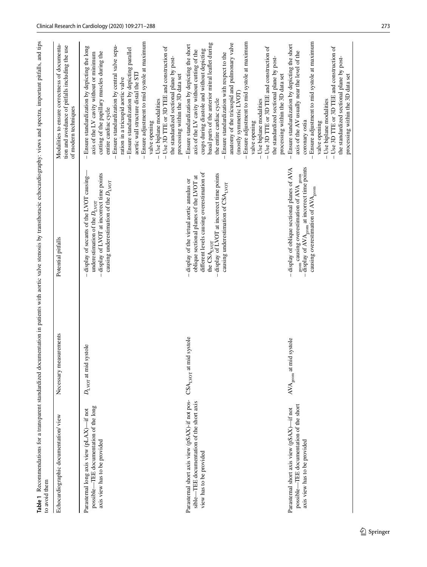<span id="page-2-0"></span>

| to avoid them                                                                                                          |                                           | Table 1 Recommendations for a transparent standardized documentation in patients with aortic valve stenosis by transthoracic echocardiography: views and spectra, important pitfalls, and tips                                     |                                                                                                                                                                                                                                                                                                                                                                                                                                                                                                                                                                                        |
|------------------------------------------------------------------------------------------------------------------------|-------------------------------------------|------------------------------------------------------------------------------------------------------------------------------------------------------------------------------------------------------------------------------------|----------------------------------------------------------------------------------------------------------------------------------------------------------------------------------------------------------------------------------------------------------------------------------------------------------------------------------------------------------------------------------------------------------------------------------------------------------------------------------------------------------------------------------------------------------------------------------------|
| Echocardiographic documentation/view                                                                                   | Necessary measurements                    | Potential pitfalls                                                                                                                                                                                                                 | Modalities to ensure correctness of documenta-<br>tion and avoidance of pitfalls including the use<br>of modern techniques                                                                                                                                                                                                                                                                                                                                                                                                                                                             |
| possible—TEE documentation of the long<br>Parasternal long axis view (pLAX)-if not<br>axis view has to be provided     | systole<br>$D_{\text{LVOT}}$ at mid       | display of LVOT at incorrect time points<br>display of secants of the LVOT causing-<br>causing underestimation of the $D_{\text{LVOT}}$<br>underestimation of the $D_{\text{LVOT}}$                                                | Ensure adjustment to mid systole at maximum<br>Ensure standardization by central valve sepa-<br>- Ensure standardization by depicting the long<br>- Use 3D TTE or 3D TEE and construction of<br>- Ensure standardization by depicting parallel<br>cutting of the papillary muscles during the<br>axis of the LV cavity without or minimum<br>the standardized sectional plane by post-<br>aortic wall structure distal the STI<br>processing within the 3D data set<br>ration in a tricuspid aortic valve<br>- Use biplane modalities<br>entire cardiac cycle<br>valve opening         |
| Parasternal short axis view (pSAX)-if not pos-<br>sible—TEE documentation of the short axis<br>view has to be provided | CSALvor at mid systole                    | different levels causing overestimation of<br>display of LVOT at incorrect time points<br>oblique sectional planes of the LVOT at<br>display of the virtual aortic annulus or<br>causing underestimation of CSALVOT<br>the CSALvor | - Ensure adjustment to mid systole at maximum<br>basal parts of the anterior mitral leaflet during<br>anatomy of the tricuspid and pulmonary valve<br>- Ensure standardization by depicting the short<br>- Use 3D TTE or 3D TEE and construction of<br>cusps during diastole and without depicting<br>axis of the LV cavity without cutting of the<br>Ensure standardization with respect to the<br>the standardized sectional plane by post-<br>processing within the 3D data set<br>(mostly symmetric LVOT)<br>the entire cardiac cycle<br>- Use biplane modalities<br>valve opening |
| possible-TEE documentation of the short<br>Parasternal short axis view (pSAX)-if not<br>axis view has to be provided   | $\text{AVA}_{\text{geom}}$ at mid systole | display of $AVAgeom$ at incorrect time points<br>- display of oblique sectional planes of AVA<br>geom causing overestimation of AVA geom<br>causing overestimation of AVA <sub>geom</sub>                                          | - Ensure adjustment to mid systole at maximum<br>- Ensure standardization by depicting the short<br>- Use 3D TTE or 3D TEE and construction of<br>axis of the AV usually near the level of the<br>the standardized sectional plane by post-<br>processing within the 3D data set<br>- Use biplane modalities<br>coronary ostia<br>valve opening                                                                                                                                                                                                                                        |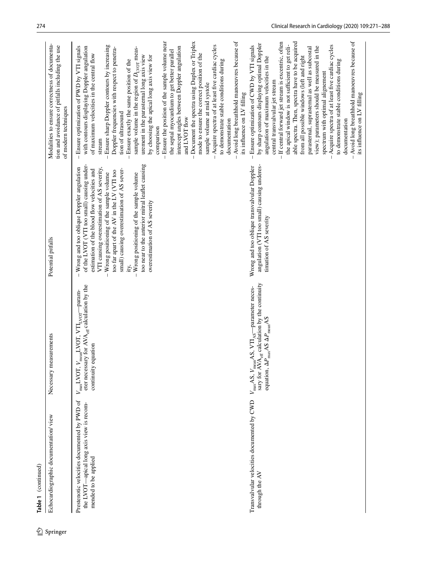| ഉ        | Table 1 (continued)                                                                                             |                                                                                                                                                                                                                   |                                                                                                                                                                                                                                                                                                                                                                                                                                                                     |                                                                                                                                                                                                                                                                                                                                                                                                                                                                                                                                                                                                                                                                                                                                                                                                                                                                                                   |
|----------|-----------------------------------------------------------------------------------------------------------------|-------------------------------------------------------------------------------------------------------------------------------------------------------------------------------------------------------------------|---------------------------------------------------------------------------------------------------------------------------------------------------------------------------------------------------------------------------------------------------------------------------------------------------------------------------------------------------------------------------------------------------------------------------------------------------------------------|---------------------------------------------------------------------------------------------------------------------------------------------------------------------------------------------------------------------------------------------------------------------------------------------------------------------------------------------------------------------------------------------------------------------------------------------------------------------------------------------------------------------------------------------------------------------------------------------------------------------------------------------------------------------------------------------------------------------------------------------------------------------------------------------------------------------------------------------------------------------------------------------------|
| Springer | Echocardiographic documentation/view                                                                            | Necessary measurements                                                                                                                                                                                            | Potential pitfalls                                                                                                                                                                                                                                                                                                                                                                                                                                                  | Modalities to ensure correctness of documenta-<br>tion and avoidance of pitfalls including the use<br>of modern techniques                                                                                                                                                                                                                                                                                                                                                                                                                                                                                                                                                                                                                                                                                                                                                                        |
|          | Prestenotic velocities documented by PWD of<br>the LVOT-apical long axis view is recom-<br>mended to be applied | eter necessary for AVA <sub>eff</sub> calculation by the<br>$V_{\text{max}} L \text{VOT}, V_{\text{mean}} L \text{VOT}, \text{ VTI}_{\text{LVOT}}$ -param-<br>continuity equation                                 | too near to the anterior mitral leaflet causing<br>of the LVOT (VTI too small) causing under-<br>VTI causing overestimation of AS severity,<br>Wrong and too oblique Doppler angulation<br>estimation of the blood flow velocities and<br>small) causing overestimation of AS sever-<br>too far apart of the AV in the LV (VTI too<br>Wrong positioning of the sample volume<br>$-$ Wrong positioning of the sample volume<br>overestimation of AS severity<br>ity, | Ensure the position of the sample volume near<br>Document the spectra using Duplex or Triplex<br>Acquire spectra of at least five cardiac cycles<br>Ensure sharp Doppler contours by increasing<br>with contours displaying Doppler angulation<br>Ensure optimization of PWD by VTI signals<br>Doppler frequencies with respect to penetra-<br>sample volume in the region of $D_{\text{LVOT}}$ meas-<br>intercept angles between Doppler angulation<br>the septal myocardium to get better parallel<br>mode to ensure the correct position of the<br>of maximum velocities in the central flow<br>urement in the parasternal long axis view<br>by choosing the apical long axis view for<br>- Ensure exactly the same position of the<br>to demonstrate stable conditions during<br>sample volume at mid systole<br>tion of ultrasound<br>and LVOT flow<br>documentation<br>comparison<br>stream |
|          | Transvalvular velocities documented by CWD<br>through the AV                                                    | sary for AVA <sub>eff</sub> calculation by the continuity<br>$V_{\text{max}}$ AS, $V_{\text{mean}}$ AS, $V$ TI <sub>AS</sub> —parameter neces-<br>$_{\text{max}}$ AS $\Delta P_{\text{mean}}$ AS<br>equation, AP, | angulation (VTI too small) causing underes-<br>Wrong and too oblique transvalvular Doppler<br>timation of AS severity                                                                                                                                                                                                                                                                                                                                               | Avoid long breathhold manoeuvres because of<br>Avoid long breathhold manoeuvres because of<br>able spectra. Then, spectra have to be acquired<br>If central forward jet stream is excentric, often<br>by sharp contours displaying optimal Doppler<br>the apical window is not sufficient to get reli-<br>Ensure optimization of CWD by VTI signals<br>Acquire spectra of at least five cardiac cycles<br>view); parameters should be measured in the<br>parasternal, suprasternal as well as subcostal<br>from all possible windows (left and right<br>angulation of maximum velocities in the<br>to demonstrate stable conditions during<br>spectrum with optimal alignement<br>central transvalvular jet stream<br>its influence on LV filling<br>its influence on LV filling<br>documentation                                                                                                 |

Table 1 (continued)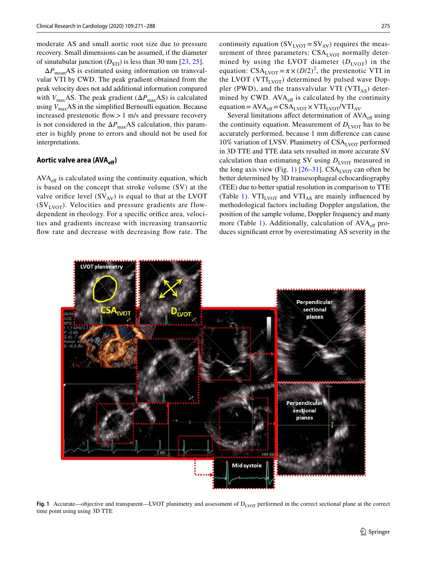moderate AS and small aortic root size due to pressure recovery. Small dimensions can be assumed, if the diameter of sinutubular junction  $(D_{STJ})$  is less than 30 mm [\[23](#page-15-13), [25\]](#page-15-14).

 $\Delta P_{\text{mean}}$ AS is estimated using information on transvalvular VTI by CWD. The peak gradient obtained from the peak velocity does not add additional information compared with  $V_{\text{max}}$ AS. The peak gradient ( $\Delta P_{\text{max}}$ AS) is calculated using  $V_{\text{max}}$ AS in the simplified Bernoulli equation. Because increased prestenotic flow  $>1$  m/s and pressure recovery is not considered in the  $\Delta P_{\text{max}}$ AS calculation, this parameter is highly prone to errors and should not be used for interpretations.

#### Aortic valve area (AVA<sub>eff</sub>)

 $AVA<sub>eff</sub>$  is calculated using the continuity equation, which is based on the concept that stroke volume (SV) at the valve orifice level  $(SV_{AV})$  is equal to that at the LVOT  $(SV<sub>IVOT</sub>)$ . Velocities and pressure gradients are flowdependent in rheology. For a specifc orifce area, velocities and gradients increase with increasing transaortic flow rate and decrease with decreasing flow rate. The

continuity equation  $(SV<sub>LVOT</sub> = SV<sub>AV</sub>)$  requires the measurement of three parameters:  $CSA<sub>LVOT</sub>$  normally determined by using the LVOT diameter  $(D_{\text{LVOT}})$  in the equation:  $CSA<sub>LVOT</sub> = \pi \times (D/2)^2$ , the prestenotic VTI in the LVOT (VTI<sub>LVOT</sub>) determined by pulsed wave Doppler (PWD), and the transvalvular VTI (VTI<sub>AS</sub>) determined by CWD.  $AVA_{\text{eff}}$  is calculated by the continuity equation =  $AVA_{\text{eff}} = CSA_{\text{LVOT}} \times VTI_{\text{LVOT}} / VTI_{\text{AV}}.$ 

Several limitations affect determination of AVA<sub>eff</sub> using the continuity equation. Measurement of  $D_{\text{LVOT}}$  has to be accurately performed, because 1 mm diference can cause 10% variation of LVSV. Planimetry of  $CSA<sub>LVOT</sub>$  performed in 3D TTE and TTE data sets resulted in more accurate SV calculation than estimating SV using  $D_{\text{IVOT}}$  measured in the long axis view (Fig. [1\)](#page-4-0)  $[26-31]$  $[26-31]$ . CSA<sub>LVOT</sub> can often be better determined by 3D transesophageal echocardiography (TEE) due to better spatial resolution in comparison to TTE (Table [1\)](#page-2-0).  $VTI_{LVOT}$  and  $VTI_{AS}$  are mainly influenced by methodological factors including Doppler angulation, the position of the sample volume, Doppler frequency and many more (Table [1](#page-2-0)). Additionally, calculation of  $AVA<sub>eff</sub>$  produces signifcant error by overestimating AS severity in the



<span id="page-4-0"></span>**Fig. 1** Accurate—objective and transparent—LVOT planimetry and assessment of  $D_{\text{LVOT}}$  performed in the correct sectional plane at the correct time point using using 3D TTE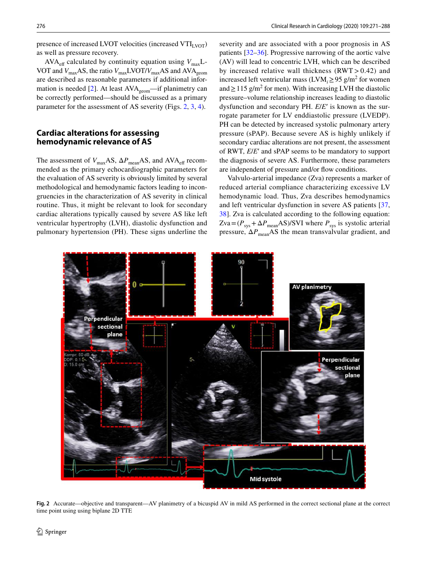presence of increased LVOT velocities (increased  $VTI<sub>IVOT</sub>$ ) as well as pressure recovery.

AVA<sub>eff</sub> calculated by continuity equation using  $V_{\text{max}}L$ -VOT and  $V_{\text{max}}$ AS, the ratio  $V_{\text{max}}$ LVOT/ $V_{\text{max}}$ AS and AVA<sub>geom</sub> are described as reasonable parameters if additional infor-mation is needed [\[2](#page-14-1)]. At least  $AVA_{geom}$ —if planimetry can be correctly performed—should be discussed as a primary parameter for the assessment of AS severity (Figs. [2](#page-5-0), [3](#page-6-0), [4](#page-6-1)).

## **Cardiac alterations for assessing hemodynamic relevance of AS**

The assessment of *V*<sub>max</sub>AS,  $ΔP$ <sub>mean</sub>AS, and AVA<sub>eff</sub> recommended as the primary echocardiographic parameters for the evaluation of AS severity is obviously limited by several methodological and hemodynamic factors leading to incongruencies in the characterization of AS severity in clinical routine. Thus, it might be relevant to look for secondary cardiac alterations typically caused by severe AS like left ventricular hypertrophy (LVH), diastolic dysfunction and pulmonary hypertension (PH). These signs underline the

severity and are associated with a poor prognosis in AS patients [[32–](#page-15-17)[36\]](#page-16-0). Progressive narrowing of the aortic valve (AV) will lead to concentric LVH, which can be described by increased relative wall thickness  $(RWT > 0.42)$  and increased left ventricular mass ( $LVM_i \ge 95$  g/m<sup>2</sup> for women and  $\geq$  115 g/m<sup>2</sup> for men). With increasing LVH the diastolic pressure–volume relationship increases leading to diastolic dysfunction and secondary PH. *E*/*E*ʹ is known as the surrogate parameter for LV enddiastolic pressure (LVEDP). PH can be detected by increased systolic pulmonary artery pressure (sPAP). Because severe AS is highly unlikely if secondary cardiac alterations are not present, the assessment of RWT, *E*/*E*ʹ and sPAP seems to be mandatory to support the diagnosis of severe AS. Furthermore, these parameters are independent of pressure and/or flow conditions.

Valvulo-arterial impedance (Zva) represents a marker of reduced arterial compliance characterizing excessive LV hemodynamic load. Thus, Zva describes hemodynamics and left ventricular dysfunction in severe AS patients [[37,](#page-16-1) [38](#page-16-2)]. Zva is calculated according to the following equation:  $Zva = (P_{sys} + \Delta P_{mean}AS)/SVI$  where  $P_{sys}$  is systolic arterial pressure,  $\Delta P_{\text{mean}}$ AS the mean transvalvular gradient, and



<span id="page-5-0"></span>**Fig. 2** Accurate—objective and transparent—AV planimetry of a bicuspid AV in mild AS performed in the correct sectional plane at the correct time point using using biplane 2D TTE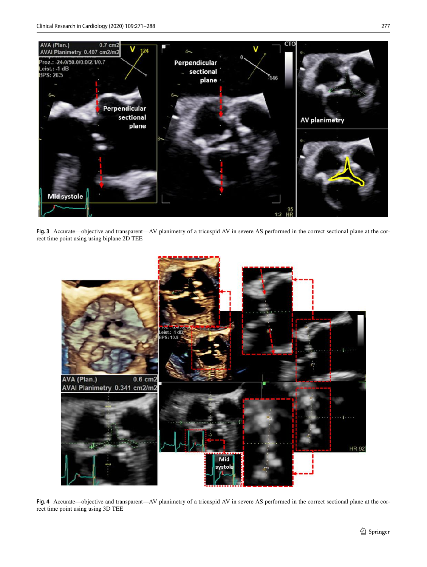

Fig. 3 Accurate—objective and transparent—AV planimetry of a tricuspid AV in severe AS performed in the correct sectional plane at the correct time point using using biplane 2D TEE

<span id="page-6-0"></span>

<span id="page-6-1"></span>**Fig. 4** Accurate—objective and transparent—AV planimetry of a tricuspid AV in severe AS performed in the correct sectional plane at the correct time point using using 3D TEE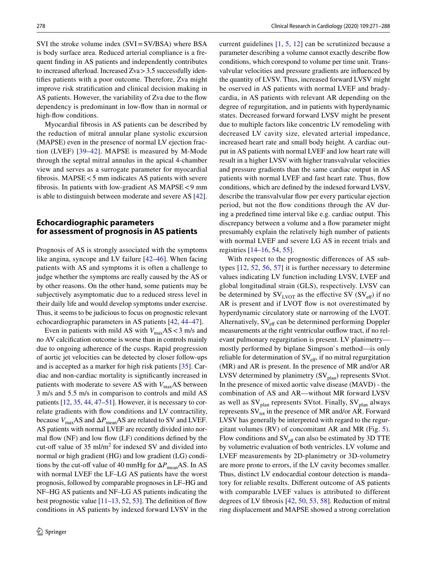SVI the stroke volume index (SVI=SV/BSA) where BSA is body surface area. Reduced arterial compliance is a frequent fnding in AS patients and independently contributes to increased afterload. Increased Zva>3.5 successfully identifes patients with a poor outcome. Therefore, Zva might improve risk stratifcation and clinical decision making in AS patients. However, the variability of Zva due to the flow dependency is predominant in low-fow than in normal or high-fow conditions.

Myocardial fbrosis in AS patients can be described by the reduction of mitral annular plane systolic excursion (MAPSE) even in the presence of normal LV ejection fraction (LVEF) [\[39–](#page-16-3)[42\]](#page-16-4). MAPSE is measured by M-Mode through the septal mitral annulus in the apical 4-chamber view and serves as a surrogate parameter for myocardial fbrosis. MAPSE<5 mm indicates AS patients with severe fbrosis. In patients with low-gradient AS MAPSE<9 mm is able to distinguish between moderate and severe AS [\[42](#page-16-4)].

## **Echocardiographic parameters for assessment of prognosis in AS patients**

Prognosis of AS is strongly associated with the symptoms like angina, syncope and LV failure [\[42](#page-16-4)[–46](#page-16-5)]. When facing patients with AS and symptoms it is often a challenge to judge whether the symptoms are really caused by the AS or by other reasons. On the other hand, some patients may be subjectively asymptomatic due to a reduced stress level in their daily life and would develop symptoms under exercise. Thus, it seems to be judicious to focus on prognostic relevant echocardiographic parameters in AS patients [[42,](#page-16-4) [44–](#page-16-6)[47\]](#page-16-7).

Even in patients with mild AS with  $V_{\text{max}}$ AS < 3 m/s and no AV calcifcation outcome is worse than in controls mainly due to ongoing adherence of the cusps. Rapid progression of aortic jet velocities can be detected by closer follow-ups and is accepted as a marker for high risk patients [[35](#page-15-18)]. Cardiac and non-cardiac mortality is signifcantly increased in patients with moderate to severe AS with  $V_{\text{max}}$ AS between 3 m/s and 5.5 m/s in comparison to controls and mild AS patients [[12,](#page-15-4) [35](#page-15-18), [44](#page-16-6), [47–](#page-16-7)[51\]](#page-16-8). However, it is necessary to correlate gradients with fow conditions and LV contractility, because  $V_{\text{max}}$ AS and  $\Delta P_{\text{mean}}$ AS are related to SV and LVEF. AS patients with normal LVEF are recently divided into normal flow  $(NF)$  and low flow  $(LF)$  conditions defined by the cut-off value of 35 ml/m<sup>2</sup> for indexed SV and divided into normal or high gradient (HG) and low gradient (LG) conditions by the cut-off value of 40 mmHg for  $\Delta P_{\text{mean}}$ AS. In AS with normal LVEF the LF–LG AS patients have the worst prognosis, followed by comparable prognoses in LF–HG and NF–HG AS patients and NF–LG AS patients indicating the best prognostic value  $[11–13, 52, 53]$  $[11–13, 52, 53]$  $[11–13, 52, 53]$  $[11–13, 52, 53]$  $[11–13, 52, 53]$  $[11–13, 52, 53]$ . The definition of flow conditions in AS patients by indexed forward LVSV in the

current guidelines [[1,](#page-14-0) [5](#page-14-2), [12](#page-15-4)] can be scrutinized because a parameter describing a volume cannot exactly describe fow conditions, which corespond to volume per time unit. Transvalvular velocities and pressure gradients are infuenced by the quantity of LVSV. Thus, increased forward LVSV might be oserved in AS patients with normal LVEF and bradycardia, in AS patients with relevant AR depending on the degree of regurgitation, and in patients with hyperdynamic states. Decreased forward forward LVSV might be present due to multiple factors like concentric LV remodeling with decreased LV cavity size, elevated arterial impedance, increased heart rate and small body height. A cardiac output in AS patients with normal LVEF and low heart rate will result in a higher LVSV with higher transvalvular velocities and pressure gradients than the same cardiac output in AS patients with normal LVEF and fast heart rate. Thus, fow conditions, which are defned by the indexed forward LVSV, describe the transvalvular flow per every particular ejection period, but not the fow conditions through the AV during a predefned time interval like e.g. cardiac output. This discrepancy between a volume and a flow parameter might presumably explain the relatively high number of patients with normal LVEF and severe LG AS in recent trials and registries [\[14](#page-15-7)[–16](#page-15-8), [54,](#page-16-11) [55\]](#page-16-12).

With respect to the prognostic diferences of AS subtypes [\[12,](#page-15-4) [52,](#page-16-9) [56](#page-16-13), [57](#page-16-14)] it is further necessary to determine values indicating LV function including LVSV, LVEF and global longitudinal strain (GLS), respectively. LVSV can be determined by  $SV_{LVOT}$  as the effective SV (SV<sub>eff</sub>) if no AR is present and if LVOT flow is not overestimated by hyperdynamic circulatory state or narrowing of the LVOT. Alternatively, SV<sub>eff</sub> can be determined performing Doppler measurements at the right ventricular outfow tract, if no relevant pulmonary regurgitation is present. LV planimetry mostly performed by biplane Simpson`s method—is only reliable for determination of  $SV_{\text{eff}}$ , if no mitral regurgitation (MR) and AR is present. In the presence of MR and/or AR LVSV determined by planimetry  $(SV_{plan})$  represents SVtot. In the presence of mixed aortic valve disease (MAVD) - the combination of AS and AR—without MR forward LVSV as well as  $SV_{plan}$  represents SVtot. Finally,  $SV_{plan}$  always represents  $SV_{tot}$  in the presence of MR and/or AR. Forward LVSV has generally be interpreted with regard to the regurgitant volumes (RV) of concomitant AR and MR (Fig. [5](#page-8-0)). Flow conditions and  $SV_{\text{eff}}$  can also be estimated by 3D TTE by volumetric evaluation of both ventricles. LV volume and LVEF measurements by 2D-planimetry or 3D-volumetry are more prone to errors, if the LV cavity becomes smaller. Thus, distinct LV endocardial contour detection is mandatory for reliable results. Diferent outcome of AS patients with comparable LVEF values is attributed to different degrees of LV fbrosis [\[42](#page-16-4), [50,](#page-16-15) [53,](#page-16-10) [58\]](#page-16-16). Reduction of mitral ring displacement and MAPSE showed a strong correlation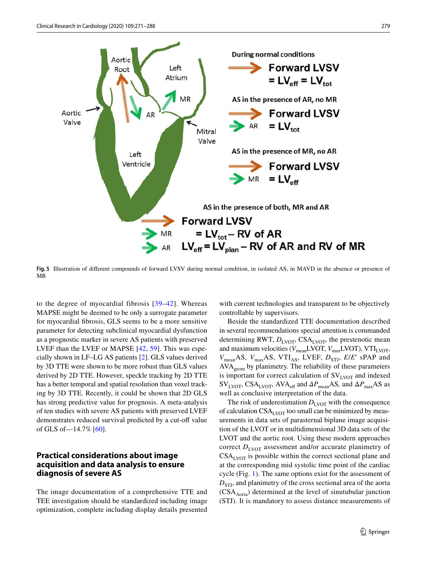

<span id="page-8-0"></span>**Fig. 5** Illustration of diferent compounds of forward LVSV during normal condition, in isolated AS, in MAVD in the absence or presence of MR

to the degree of myocardial fibrosis [[39](#page-16-3)–[42](#page-16-4)]. Whereas MAPSE might be deemed to be only a surrogate parameter for myocardial fbrosis, GLS seems to be a more sensitive parameter for detecting subclinical myocardial dysfunction as a prognostic marker in severe AS patients with preserved LVEF than the LVEF or MAPSE [\[42,](#page-16-4) [59](#page-16-17)]. This was especially shown in LF–LG AS patients [\[2](#page-14-1)]. GLS values derived by 3D TTE were shown to be more robust than GLS values derived by 2D TTE. However, speckle tracking by 2D TTE has a better temporal and spatial resolution than voxel tracking by 3D TTE. Recently, it could be shown that 2D GLS has strong predictive value for prognosis. A meta-analysis of ten studies with severe AS patients with preserved LVEF demonstrates reduced survival predicted by a cut-off value of GLS of—14.7% [[60\]](#page-16-18).

## **Practical considerations about image acquisition and data analysis to ensure diagnosis of severe AS**

The image documentation of a comprehensive TTE and TEE investigation should be standardized including image optimization, complete including display details presented

with current technologies and transparent to be objectively controllable by supervisors.

Beside the standardized TTE documentation described in several recommendations special attention is commanded determining RWT,  $D_{\text{LVOT}}$ , CSA<sub>LVOT</sub>, the prestenotic mean and maximum velocities ( $V_{\text{mean}}$ LVOT,  $V_{\text{max}}$ LVOT), VTI<sub>LVOT</sub>,  $V_{\text{mean}}$ AS,  $V_{\text{max}}$ AS, VTI<sub>AS</sub>, LVEF,  $D_{\text{STJ}}$ , *E/E'* sPAP and AVAgeom by planimetry. The reliability of these parameters is important for correct calculation of  $SV_{\text{IVOT}}$  and indexed SV<sub>LVOT</sub>, CSA<sub>LVOT</sub>, AVA<sub>eff</sub> and  $\Delta P_{\text{mean}}$ AS, and  $\Delta P_{\text{max}}$ AS as well as conclusive interpretation of the data.

The risk of underestimation  $D_{\text{LVOT}}$  with the consequence of calculation  $CSA<sub>LVOT</sub>$  too small can be minimized by measurements in data sets of parasternal biplane image acquisition of the LVOT or in multidimensional 3D data sets of the LVOT and the aortic root. Using these modern approaches correct  $D_{\text{IVOT}}$  assessment and/or accurate planimetry of  $CSA<sub>IVOT</sub>$  is possible within the correct sectional plane and at the corresponding mid systolic time point of the cardiac cycle (Fig. [1\)](#page-4-0). The same options exist for the assessment of  $D<sub>STI</sub>$ , and planimetry of the cross sectional area of the aorta  $(CSA<sub>Aorta</sub>)$  determined at the level of sinutubular junction (STJ). It is mandatory to assess distance measurements of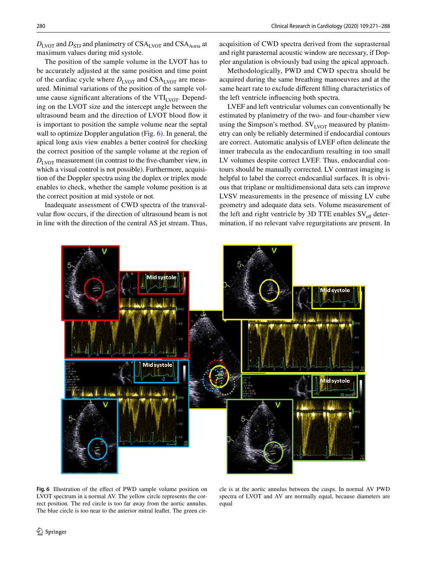$D_{\text{LVOT}}$  and  $D_{\text{STJ}}$  and planimetry of CSA<sub>LVOT</sub> and CSA<sub>Aorta</sub> at maximum values during mid systole.

The position of the sample volume in the LVOT has to be accurately adjusted at the same position and time point of the cardiac cycle where  $D_{\text{LVOT}}$  and CSA<sub>LVOT</sub> are measured. Minimal variations of the position of the sample volume cause significant alterations of the  $VTI<sub>LVOT</sub>$ . Depending on the LVOT size and the intercept angle between the ultrasound beam and the direction of LVOT blood fow it is important to position the sample volume near the septal wall to optimize Doppler angulation (Fig. [6\)](#page-9-0). In general, the apical long axis view enables a better control for checking the correct position of the sample volume at the region of  $D_{\text{LVOT}}$  measurement (in contrast to the five-chamber view, in which a visual control is not possible). Furthermore, acquisition of the Doppler spectra using the duplex or triplex mode enables to check, whether the sample volume position is at the correct position at mid systole or not.

Inadequate assessment of CWD spectra of the transvalvular fow occurs, if the direction of ultrasound beam is not in line with the direction of the central AS jet stream. Thus,

acquisition of CWD spectra derived from the suprasternal and right parasternal acoustic window are necessary, if Doppler angulation is obviously bad using the apical approach.

Methodologically, PWD and CWD spectra should be acquired during the same breathing manoeuvres and at the same heart rate to exclude diferent flling characteristics of the left ventricle infuencing both spectra.

LVEF and left ventricular volumes can conventionally be estimated by planimetry of the two- and four-chamber view using the Simpson's method.  $SV_{LVOT}$  measured by planimetry can only be reliably determined if endocardial contours are correct. Automatic analysis of LVEF often delineate the inner trabecula as the endocardium resulting in too small LV volumes despite correct LVEF. Thus, endocardial contours should be manually corrected. LV contrast imaging is helpful to label the correct endocardial surfaces. It is obvious that triplane or multidimensional data sets can improve LVSV measurements in the presence of missing LV cube geometry and adequate data sets. Volume measurement of the left and right ventricle by 3D TTE enables  $SV_{\text{eff}}$  determination, if no relevant valve regurgitations are present. In



<span id="page-9-0"></span>Fig. 6 Illustration of the effect of PWD sample volume position on LVOT spectrum in a normal AV. The yellow circle represents the correct position. The red circle is too far away from the aortic annulus. The blue circle is too near to the anterior mitral leafet. The green cir-

cle is at the aortic annulus between the cusps. In normal AV PWD spectra of LVOT and AV are normally equal, because diameters are equal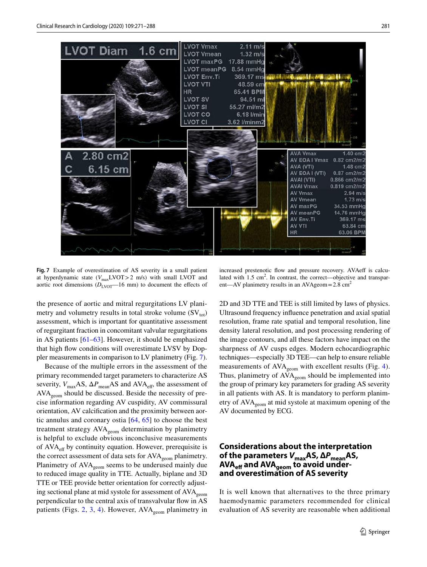

<span id="page-10-0"></span>**Fig. 7** Example of overestimation of AS severity in a small patient at hyperdynamic state  $(V_{\text{max}}\text{LVOT} > 2 \text{ m/s})$  with small LVOT and aortic root dimensions  $(D_{\text{LVOT}}-16 \text{ mm})$  to document the effects of

the presence of aortic and mitral regurgitations LV planimetry and volumetry results in total stroke volume  $(SV_{\text{tot}})$ assessment, which is important for quantitative assessment of regurgitant fraction in concomitant valvular regurgitations in AS patients [\[61](#page-17-0)[–63\]](#page-17-1). However, it should be emphasized that high fow conditions will overestimate LVSV by Doppler measurements in comparison to LV planimetry (Fig. [7](#page-10-0)).

Because of the multiple errors in the assessment of the primary recommended target parameters to characterize AS severity,  $V_{\text{max}}$ AS,  $ΔP_{\text{mean}}$ AS and AVA<sub>eff</sub>, the assessment of  $AVA<sub>geom</sub>$  should be discussed. Beside the necessity of precise information regarding AV cuspidity, AV commissural orientation, AV calcifcation and the proximity between aortic annulus and coronary ostia  $[64, 65]$  $[64, 65]$  $[64, 65]$  to choose the best treatment strategy AVA<sub>geom</sub> determination by planimetry is helpful to exclude obvious inconclusive measurements of  $AVA<sub>eff</sub>$  by continuity equation. However, prerequisite is the correct assessment of data sets for  $AVA<sub>geom</sub>$  planimetry. Planimetry of AVA<sub>geom</sub> seems to be underused mainly due to reduced image quality in TTE. Actually, biplane and 3D TTE or TEE provide better orientation for correctly adjusting sectional plane at mid systole for assessment of AVA<sub>geom</sub> perpendicular to the central axis of transvalvular flow in AS patients (Figs. [2](#page-5-0), [3](#page-6-0), [4](#page-6-1)). However,  $AVA_{\text{geom}}$  planimetry in

increased prestenotic flow and pressure recovery. AVAeff is calculated with  $1.5 \text{ cm}^2$ . In contrast, the correct—objective and transparent—AV planimetry results in an AVAgeom =  $2.8 \text{ cm}^2$ 

2D and 3D TTE and TEE is still limited by laws of physics. Ultrasound frequency infuence penetration and axial spatial resolution, frame rate spatial and temporal resolution, line density lateral resolution, and post processing rendering of the image contours, and all these factors have impact on the sharpness of AV cusps edges. Modern echocardiographic techniques—especially 3D TEE—can help to ensure reliable measurements of  $AVA_{geom}$  with excellent results (Fig. [4](#page-6-1)). Thus, planimetry of  $AVA_{\text{geom}}$  should be implemented into the group of primary key parameters for grading AS severity in all patients with AS. It is mandatory to perform planimetry of AVA<sub>geom</sub> at mid systole at maximum opening of the AV documented by ECG.

## **Considerations about the interpretation of the parameters** *V***maxAS, Δ***P***meanAS, AVAef and AVAgeom to avoid under‑ and overestimation of AS severity**

It is well known that alternatives to the three primary haemodynamic parameters recommended for clinical evaluation of AS severity are reasonable when additional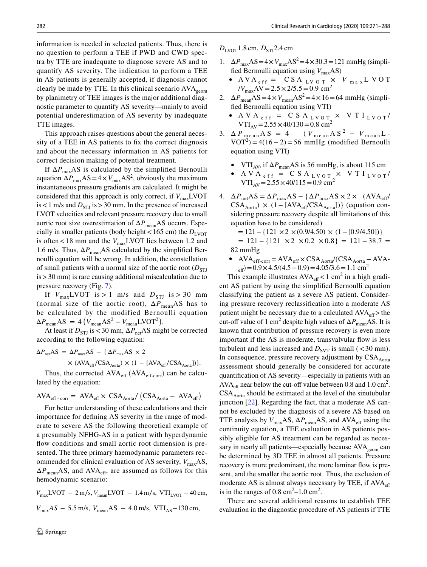information is needed in selected patients. Thus, there is no question to perform a TEE if PWD and CWD spectra by TTE are inadequate to diagnose severe AS and to quantify AS severity. The indication to perform a TEE in AS patients is generally accepted, if diagnosis cannot clearly be made by TTE. In this clinical scenario AVA<sub>geom</sub> by planimetry of TEE images is the major additional diagnostic parameter to quantify AS severity—mainly to avoid potential underestimation of AS severity by inadequate TTE images.

This approach raises questions about the general necessity of a TEE in AS patients to fix the correct diagnosis and about the necessary information in AS patients for correct decision making of potential treatment.

If  $\Delta P_{\text{max}}$ AS is calculated by the simplified Bernoulli equation  $\Delta P_{\text{max}}AS = 4 \times V_{\text{max}}AS^2$ , obviously the maximum instantaneous pressure gradients are calculated. It might be considered that this approach is only correct, if  $V_{\text{max}}$ LVOT is  $< 1$  m/s and  $D_{STI}$  is  $> 30$  mm. In the presence of increased LVOT velocities and relevant pressure recovery due to small aortic root size overestimation of ΔP<sub>mean</sub>AS occurs. Especially in smaller patients (body height < 165 cm) the  $D_{\text{LVOT}}$ is often <18 mm and the  $V_{\text{max}}$ LVOT lies between 1.2 and 1.6 m/s. Thus,  $\Delta P_{\text{mean}}$ AS calculated by the simplified Bernoulli equation will be wrong. In addition, the constellation of small patients with a normal size of the aortic root  $(D_{\text{STI}})$  $is > 30$  mm) is rare causing additional miscalculation due to pressure recovery (Fig. [7\)](#page-10-0).

If  $V_{\text{max}}$ LVOT is > 1 m/s and  $D_{\text{STJ}}$  is > 30 mm (normal size of the aortic root),  $\Delta P_{\text{mean}}$ AS has to be calculated by the modified Bernoulli equation  $\Delta P_{\text{mean}} \text{AS} = 4 \left( V_{\text{mean}} \text{AS}^2 - V_{\text{mean}} \text{LVOT}^2 \right).$ 

At least if  $D_{STJ}$  is <30 mm,  $\Delta P_{net}$ AS might be corrected according to the following equation:

$$
\Delta P_{\text{net}} A S = \Delta P_{\text{max}} A S - \{ \Delta P_{\text{max}} A S \times 2
$$
  
 
$$
\times (A V A_{\text{eff}} / \text{CS} A_{\text{Aorta}}) \times (1 - [A V A_{\text{eff}} / \text{CS} A_{\text{Aorta}})] \}.
$$

Thus, the corrected  $AVA<sub>eff-Corr</sub>$  can be calculated by the equation:

$$
AVA_{\text{eff-corr}} = \text{AVA}_{\text{eff}} \times \text{ CSA}_{\text{Aorta}} / (\text{CSA}_{\text{Aorta}} - \text{AVA}_{\text{eff}})
$$

For better understanding of these calculations and their importance for defning AS severity in the range of moderate to severe AS the following theoretical example of a presumably NFHG-AS in a patient with hyperdynamic flow conditions and small aortic root dimension is presented. The three primary haemodynamic parameters recommended for clinical evaluation of AS severity,  $V_{\text{max}}$ AS,  $\Delta P_{\text{mean}}$ AS, and AVA<sub>eff</sub>, are assumed as follows for this hemodynamic scenario:

 $V_{\text{max}}$ LVOT – 2 m/s,  $V_{\text{mean}}$ LVOT – 1.4 m/s, VTI<sub>LVOT</sub> – 40 cm,  $V_{\text{max}}AS - 5.5$  m/s,  $V_{\text{mean}}AS - 4.0$  m/s, VTI<sub>AS</sub>-130 cm,

 $D_{\text{LVOT}}$ 1.8 cm,  $D_{\text{STI}}$ 2.4 cm

- 1.  $\Delta P_{\text{max}}$ AS =  $4 \times V_{\text{max}}$ AS<sup>2</sup> =  $4 \times 30.3$  = 121 mmHg (simplified Bernoulli equation using  $V_{\text{max}}$ AS)
	- AVA<sub>eff</sub> = CSA<sub>LVOT</sub>  $\times$  *V*<sub>max</sub>LVOT  $/V_{\text{max}}AV = 2.5 \times 2/5.5 = 0.9 \text{ cm}^2$
- 2.  $\Delta P_{\text{mean}}AS = 4 \times V_{\text{mean}}AS^2 = 4 \times 16 = 64 \text{ mmHg (simpli$ fed Bernoulli equation using VTI)
	- AVA<sub>eff</sub> = CSA<sub>LVOT</sub>  $\times$  VTI<sub>LVOT</sub>/  $VTI_{AV} = 2.55 \times 40/130 = 0.8$  cm<sup>2</sup>
- 3.  $\Delta P_{mean} A S = 4$  (  $V_{mean} A S^2 V_{mean} L$  - $VOT<sup>2</sup>$ ) = 4(16 – 2) = 56 mmHg (modified Bernoulli equation using VTI)
	- VTI<sub>AV</sub>, if  $\Delta P_{\text{mean}}$ AS is 56 mmHg, is about 115 cm
	- AVA<sub>eff</sub> = CSA<sub>LVOT</sub>  $\times$  VTI<sub>LVOT</sub>/  $VTI_{AV} = 2.55 \times 40/115 = 0.9$  cm<sup>2</sup>
- 4.  $\Delta P_{\text{net}}AS = \Delta P_{\text{max}}AS {\{\Delta P_{\text{max}}AS \times 2 \times \ (AVA_{\text{eff}})\}}$  $CSA_{\text{Aorta}}$ ) × (1 – [AVA<sub>eff</sub>/CSA<sub>Aorta</sub>])} (equation considering pressure recovery despite all limitations of this equation have to be considered)

 $= 121 - \{121 \times 2 \times (0.9/4.50) \times (1 - [0.9/4.50])\}$  $= 121 - \{121 \times 2 \times 0.2 \times 0.8\} = 121 - 38.7 =$ 82 mmHg

•  $AVA_{eff-corr} = AVA_{eff} \times CSA_{Aorta} / (CSA_{Aorta} - AVA _{\text{eff}}$ )=0.9×4.5/(4.5 – 0.9)=4.05/3.6 = 1.1 cm<sup>2</sup>

This example illustrates  $AVA_{\text{eff}} < 1 \text{ cm}^2$  in a high gradient AS patient by using the simplifed Bernoulli equation classifying the patient as a severe AS patient. Considering pressure recovery reclassifcation into a moderate AS patient might be necessary due to a calculated  $AVA<sub>eff</sub>$  > the cut-off value of 1 cm<sup>2</sup> despite high values of  $\Delta P_{\text{mean}}$ AS. It is known that contribution of pressure recovery is even more important if the AS is moderate, transvalvular flow is less turbulent and less increased and  $D_{\text{SVT}}$  is small (<30 mm). In consequence, pressure recovery adjustment by CSA<sub>Aorta</sub> assessment should generally be considered for accurate quantifcation of AS severity—especially in patients with an  $AVA<sub>eff</sub>$  near below the cut-off value between 0.8 and 1.0 cm<sup>2</sup>.  $CSA<sub>Aorta</sub>$  should be estimated at the level of the sinutubular junction [[22\]](#page-15-19). Regarding the fact, that a moderate AS cannot be excluded by the diagnosis of a severe AS based on TTE analysis by  $V_{\text{max}}$ AS,  $\Delta P_{\text{mean}}$ AS, and AVA<sub>eff</sub> using the continuity equation, a TEE evaluation in AS patients possibly eligible for AS treatment can be regarded as necessary in nearly all patients—especially because  $AVA<sub>geom</sub>$  can be determined by 3D TEE in almost all patients. Pressure recovery is more predominant, the more laminar flow is present, and the smaller the aortic root. Thus, the exclusion of moderate AS is almost always necessary by TEE, if  $AVA<sub>eff</sub>$ is in the ranges of  $0.8 \text{ cm}^2$ –1.0 cm<sup>2</sup>.

There are several additional reasons to establish TEE evaluation in the diagnostic procedure of AS patients if TTE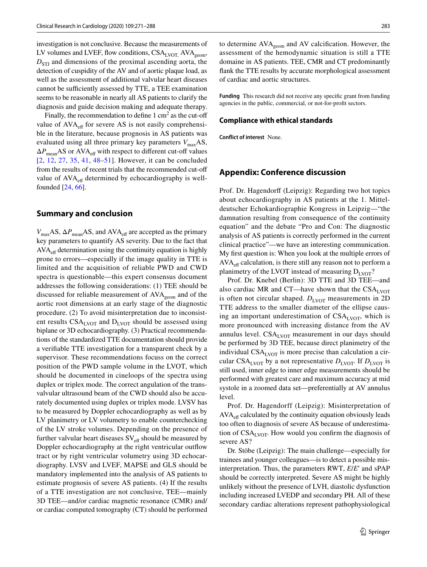investigation is not conclusive. Because the measurements of LV volumes and LVEF, flow conditions,  $CSA<sub>LVOT</sub>$  AVA<sub>geom</sub>,  $D_{\text{STJ}}$  and dimensions of the proximal ascending aorta, the detection of cuspidity of the AV and of aortic plaque load, as well as the assessment of additional valvular heart diseases cannot be sufficiently assessed by TTE, a TEE examination seems to be reasonable in nearly all AS patients to clarify the diagnosis and guide decision making and adequate therapy.

Finally, the recommendation to define  $1 \text{ cm}^2$  as the cut-off value of AVA<sub>eff</sub> for severe AS is not easily comprehensible in the literature, because prognosis in AS patients was evaluated using all three primary key parameters  $V_{\text{max}}AS$ ,  $\Delta P_{\text{mean}}$ AS or AVA<sub>eff</sub> with respect to different cut-off values [[2,](#page-14-1) [12,](#page-15-4) [27,](#page-15-20) [35,](#page-15-18) [41](#page-16-19), [48](#page-16-20)[–51\]](#page-16-8). However, it can be concluded from the results of recent trials that the recommended cut-of value of  $AVA<sub>eff</sub>$  determined by echocardiography is wellfounded [[24,](#page-15-12) [66\]](#page-17-4).

#### **Summary and conclusion**

 $V_{\text{max}}$ AS,  $\Delta P_{\text{mean}}$ AS, and AVA<sub>eff</sub> are accepted as the primary key parameters to quantify AS severity. Due to the fact that AVA<sub>eff</sub> determination using the continuity equation is highly prone to errors—especially if the image quality in TTE is limited and the acquisition of reliable PWD and CWD spectra is questionable—this expert consensus document addresses the following considerations: (1) TEE should be discussed for reliable measurement of AVA<sub>geom</sub> and of the aortic root dimensions at an early stage of the diagnostic procedure. (2) To avoid misinterpretation due to inconsistent results  $CSA<sub>LVOT</sub>$  and  $D<sub>LVOT</sub>$  should be assessed using biplane or 3D echocardiography. (3) Practical recommendations of the standardized TTE documentation should provide a verifable TTE investigation for a transparent check by a supervisor. These recommendations focuss on the correct position of the PWD sample volume in the LVOT, which should be documented in cineloops of the spectra using duplex or triplex mode. The correct angulation of the transvalvular ultrasound beam of the CWD should also be accurately documented using duplex or triplex mode. LVSV has to be measured by Doppler echocardiography as well as by LV planimetry or LV volumetry to enable counterchecking of the LV stroke volumes. Depending on the presence of further valvular heart diseases  $SV_{\text{eff}}$  should be measured by Doppler echocardiography at the right ventricular outflow tract or by right ventricular volumetry using 3D echocardiography. LVSV and LVEF, MAPSE and GLS should be mandatory implemented into the analysis of AS patients to estimate prognosis of severe AS patients. (4) If the results of a TTE investigation are not conclusive, TEE—mainly 3D TEE—and/or cardiac magnetic resonance (CMR) and/ or cardiac computed tomography (CT) should be performed to determine  $AVA_{geom}$  and  $AV$  calcification. However, the assessment of the hemodynamic situation is still a TTE domaine in AS patients. TEE, CMR and CT predominantly fank the TTE results by accurate morphological assessment of cardiac and aortic structures.

**Funding** This research did not receive any specifc grant from funding agencies in the public, commercial, or not-for-proft sectors.

#### **Compliance with ethical standards**

**Conflict of interest** None.

#### **Appendix: Conference discussion**

Prof. Dr. Hagendorff (Leipzig): Regarding two hot topics about echocardiography in AS patients at the 1. Mitteldeutscher Echokardiographie Kongress in Leipzig—"the damnation resulting from consequence of the continuity equation" and the debate "Pro and Con: The diagnostic analysis of AS patients is correctly performed in the current clinical practice"—we have an interesting communication. My frst question is: When you look at the multiple errors of  $AVA<sub>eff</sub>$  calculation, is there still any reason not to perform a planimetry of the LVOT instead of measuring  $D_{\text{LVOT}}$ ?

Prof. Dr. Knebel (Berlin): 3D TTE and 3D TEE—and also cardiac MR and CT—have shown that the  $CSA<sub>LVOT</sub>$ is often not circular shaped.  $D_{\text{LVOT}}$  measurements in 2D TTE address to the smaller diameter of the ellipse causing an important underestimation of  $CSA<sub>LVOT</sub>$ , which is more pronounced with increasing distance from the AV annulus level.  $CSA<sub>LVOT</sub>$  measurement in our days should be performed by 3D TEE, because direct planimetry of the individual  $CSA<sub>LVOT</sub>$  is more precise than calculation a circular CSA<sub>LVOT</sub> by a not representative  $D_{\text{LVOT}}$ . If  $D_{\text{LVOT}}$  is still used, inner edge to inner edge measurements should be performed with greatest care and maximum accuracy at mid systole in a zoomed data set—preferentially at AV annulus level.

Prof. Dr. Hagendorff (Leipzig): Misinterpretation of  $AVA<sub>eff</sub>$  calculated by the continuity equation obviously leads too often to diagnosis of severe AS because of underestimation of  $CSA<sub>LVOT</sub>$ . How would you confirm the diagnosis of severe AS?

Dr. Stöbe (Leipzig): The main challenge—especially for trainees and younger colleagues—is to detect a possible misinterpretation. Thus, the parameters RWT, *E*/*E*ʹ and sPAP should be correctly interpreted. Severe AS might be highly unlikely without the presence of LVH, diastolic dysfunction including increased LVEDP and secondary PH. All of these secondary cardiac alterations represent pathophysiological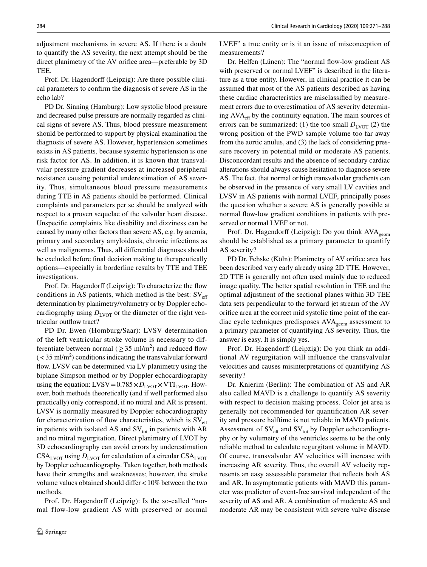adjustment mechanisms in severe AS. If there is a doubt to quantify the AS severity, the next attempt should be the direct planimetry of the AV orifice area—preferable by 3D TEE.

Prof. Dr. Hagendorff (Leipzig): Are there possible clinical parameters to confrm the diagnosis of severe AS in the echo lab?

PD Dr. Sinning (Hamburg): Low systolic blood pressure and decreased pulse pressure are normally regarded as clinical signs of severe AS. Thus, blood pressure measurement should be performed to support by physical examination the diagnosis of severe AS. However, hypertension sometimes exists in AS patients, because systemic hypertension is one risk factor for AS. In addition, it is known that transvalvular pressure gradient decreases at increased peripheral resistance causing potential underestimation of AS severity. Thus, simultaneous blood pressure measurements during TTE in AS patients should be performed. Clinical complaints and parameters per se should be analyzed with respect to a proven sequelae of the valvular heart disease. Unspecifc complaints like disability and dizziness can be caused by many other factors than severe AS, e.g. by anemia, primary and secondary amyloidosis, chronic infections as well as malignomas. Thus, all diferential diagnoses should be excluded before fnal decision making to therapeutically options—especially in borderline results by TTE and TEE investigations.

Prof. Dr. Hagendorff (Leipzig): To characterize the flow conditions in AS patients, which method is the best:  $SV_{\text{eff}}$ determination by planimetry/volumetry or by Doppler echocardiography using  $D_{\text{LVOT}}$  or the diameter of the right ventricular outflow tract?

PD Dr. Ewen (Homburg/Saar): LVSV determination of the left ventricular stroke volume is necessary to differentiate between normal ( $\geq$  35 ml/m<sup>2</sup>) and reduced flow  $\left(< 35 \text{ ml/m}^2\right)$  conditions indicating the transvalvular forward flow. LVSV can be determined via LV planimetry using the biplane Simpson method or by Doppler echocardiography using the equation: LVSV= $0.785 \times D_{\text{LVOT}} \times \text{VTI}_{\text{LVOT}}$ . However, both methods theoretically (and if well performed also practically) only correspond, if no mitral and AR is present. LVSV is normally measured by Doppler echocardiography for characterization of flow characteristics, which is  $SV_{\text{eff}}$ in patients with isolated AS and  $SV_{tot}$  in patients with AR and no mitral regurgitation. Direct planimetry of LVOT by 3D echocardiography can avoid errors by underestimation  $CSA<sub>LVOT</sub>$  using  $D<sub>LVOT</sub>$  for calculation of a circular  $CSA<sub>LVOT</sub>$ by Doppler echocardiography. Taken together, both methods have their strengths and weaknesses; however, the stroke volume values obtained should difer<10% between the two methods.

Prof. Dr. Hagendorff (Leipzig): Is the so-called "normal flow-low gradient AS with preserved or normal LVEF" a true entity or is it an issue of misconception of measurements?

Dr. Helfen (Lünen): The "normal flow-low gradient AS with preserved or normal LVEF" is described in the literature as a true entity. However, in clinical practice it can be assumed that most of the AS patients described as having these cardiac characteristics are misclassifed by measurement errors due to overestimation of AS severity determining  $AVA<sub>eff</sub>$  by the continuity equation. The main sources of errors can be summarized: (1) the too small  $D_{\text{LVOT}}$  (2) the wrong position of the PWD sample volume too far away from the aortic anulus, and (3) the lack of considering pressure recovery in potential mild or moderate AS patients. Disconcordant results and the absence of secondary cardiac alterations should always cause hesitation to diagnose severe AS. The fact, that normal or high transvalvular gradients can be observed in the presence of very small LV cavities and LVSV in AS patients with normal LVEF, principally poses the question whether a severe AS is generally possible at normal flow-low gradient conditions in patients with preserved or normal LVEF or not.

Prof. Dr. Hagendorff (Leipzig): Do you think  $AVA_{\text{geom}}$ should be established as a primary parameter to quantify AS severity?

PD Dr. Fehske (Köln): Planimetry of AV orifce area has been described very early already using 2D TTE. However, 2D TTE is generally not often used mainly due to reduced image quality. The better spatial resolution in TEE and the optimal adjustment of the sectional planes within 3D TEE data sets perpendicular to the forward jet stream of the AV orifce area at the correct mid systolic time point of the cardiac cycle techniques predisposes  $AVA_{\text{geom}}$  assessment to a primary parameter of quantifying AS severity. Thus, the answer is easy. It is simply yes.

Prof. Dr. Hagendorff (Leipzig): Do you think an additional AV regurgitation will influence the transvalvular velocities and causes misinterpretations of quantifying AS severity?

Dr. Knierim (Berlin): The combination of AS and AR also called MAVD is a challenge to quantify AS severity with respect to decision making process. Color jet area is generally not recommended for quantifcation AR severity and pressure halftime is not reliable in MAVD patients. Assessment of  $SV_{\text{eff}}$  and  $SV_{\text{tot}}$  by Doppler echocardiography or by volumetry of the ventricles seems to be the only reliable method to calculate regurgitant volume in MAVD. Of course, transvalvular AV velocities will increase with increasing AR severity. Thus, the overall AV velocity represents an easy assessable parameter that refects both AS and AR. In asymptomatic patients with MAVD this parameter was predictor of event-free survival independent of the severity of AS and AR. A combination of moderate AS and moderate AR may be consistent with severe valve disease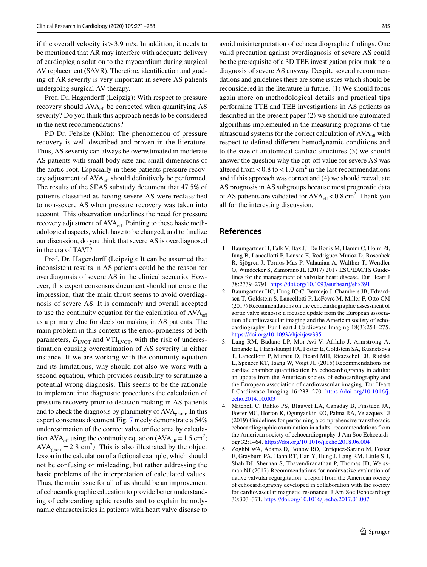if the overall velocity is  $>$  3.9 m/s. In addition, it needs to be mentioned that AR may interfere with adequate delivery of cardioplegia solution to the myocardium during surgical AV replacement (SAVR). Therefore, identifcation and grading of AR severity is very important in severe AS patients undergoing surgical AV therapy.

Prof. Dr. Hagendorff (Leipzig): With respect to pressure recovery should  $AVA<sub>eff</sub>$  be corrected when quantifying AS severity? Do you think this approach needs to be considered in the next recommendations?

PD Dr. Fehske (Köln): The phenomenon of pressure recovery is well described and proven in the literature. Thus, AS severity can always be overestimated in moderate AS patients with small body size and small dimensions of the aortic root. Especially in these patients pressure recovery adjustment of AVA<sub>eff</sub> should definitively be performed. The results of the SEAS substudy document that 47.5% of patients classifed as having severe AS were reclassifed to non-severe AS when pressure recovery was taken into account. This observation underlines the need for pressure recovery adjustment of AVA<sub>eff</sub>. Pointing to these basic methodological aspects, which have to be changed, and to fnalize our discussion, do you think that severe AS is overdiagnosed in the era of TAVI?

Prof. Dr. Hagendorff (Leipzig): It can be assumed that inconsistent results in AS patients could be the reason for overdiagnosis of severe AS in the clinical scenario. However, this expert consensus document should not create the impression, that the main thrust seems to avoid overdiagnosis of severe AS. It is commonly and overall accepted to use the continuity equation for the calculation of  $AVA<sub>eff</sub>$ as a primary clue for decision making in AS patients. The main problem in this context is the error-proneness of both parameters,  $D_{\text{LVOT}}$  and VTI<sub>LVOT</sub>, with the risk of underestimation causing overestimation of AS severity in either instance. If we are working with the continuity equation and its limitations, why should not also we work with a second equation, which provides sensibility to scrutinize a potential wrong diagnosis. This seems to be the rationale to implement into diagnostic procedures the calculation of pressure recovery prior to decision making in AS patients and to check the diagnosis by planimetry of  $AVA_{\text{geom}}$ . In this expert consensus document Fig. [7](#page-10-0) nicely demonstrate a 54% underestimation of the correct valve orifce area by calculation AVA<sub>eff</sub> using the continuity equation (AVA<sub>eff</sub> = 1.5 cm<sup>2</sup>;  $AVA<sub>geom</sub> = 2.8$  cm<sup>2</sup>). This is also illustrated by the object lesson in the calculation of a fctional example, which should not be confusing or misleading, but rather addressing the basic problems of the interpretation of calculated values. Thus, the main issue for all of us should be an improvement of echocardiographic education to provide better understanding of echocardiographic results and to explain hemodynamic characteristics in patients with heart valve disease to

avoid misinterpretation of echocardiographic fndings. One valid precaution against overdiagnosis of severe AS could be the prerequisite of a 3D TEE investigation prior making a diagnosis of severe AS anyway. Despite several recommendations and guidelines there are some issues which should be reconsidered in the literature in future. (1) We should focus again more on methodological details and practical tips performing TTE and TEE investigations in AS patients as described in the present paper (2) we should use automated algorithms implemented in the measuring programs of the ultrasound systems for the correct calculation of  $AVA<sub>off</sub>$  with respect to defned diferent hemodynamic conditions and to the size of anatomical cardiac structures (3) we should answer the question why the cut-off value for severe AS was altered from  $< 0.8$  to  $< 1.0$  cm<sup>2</sup> in the last recommendations and if this approach was correct and (4) we should reevaluate AS prognosis in AS subgroups because most prognostic data of AS patients are validated for  $AVA_{\text{eff}} < 0.8 \text{ cm}^2$ . Thank you all for the interesting discussion.

#### **References**

- <span id="page-14-0"></span>1. Baumgartner H, Falk V, Bax JJ, De Bonis M, Hamm C, Holm PJ, Iung B, Lancellotti P, Lansac E, Rodriguez Muñoz D, Rosenhek R, Sjögren J, Tornos Mas P, Vahanian A, Walther T, Wendler O, Windecker S, Zamorano JL (2017) 2017 ESC/EACTS Guidelines for the management of valvular heart disease. Eur Heart J 38:2739–2791.<https://doi.org/10.1093/eurheartj/ehx391>
- <span id="page-14-1"></span>2. Baumgartner HC, Hung JC-C, Bermejo J, Chambers JB, Edvardsen T, Goldstein S, Lancellotti P, LeFevre M, Miller F, Otto CM (2017) Recommendations on the echocardiographic assessment of aortic valve stenosis: a focused update from the European association of cardiovascular imaging and the American society of echocardiography. Eur Heart J Cardiovasc Imaging 18(3):254–275. <https://doi.org/10.1093/ehjci/jew335>
- 3. Lang RM, Badano LP, Mor-Avi V, Afilalo J, Armstrong A, Ernande L, Flachskampf FA, Foster E, Goldstein SA, Kuznetsova T, Lancellotti P, Muraru D, Picard MH, Rietzschel ER, Rudski L, Spencer KT, Tsang W, Voigt JU (2015) Recommendations for cardiac chamber quantifcation by echocardiography in adults: an update from the American society of echocardiography and the European association of cardiovascular imaging. Eur Heart J Cardiovasc Imaging 16:233–270. [https://doi.org/10.1016/j.](https://doi.org/10.1016/j.echo.2014.10.003) [echo.2014.10.003](https://doi.org/10.1016/j.echo.2014.10.003)
- 4. Mitchell C, Rahko PS, Blauwet LA, Canaday B, Finstuen JA, Foster MC, Horton K, Ogunyankin KO, Palma RA, Velazquez EJ (2019) Guidelines for performing a comprehensive transthoracic echocardiographic examination in adults: recommendations from the American society of echocardiography. J Am Soc Echocardiogr 32:1–64.<https://doi.org/10.1016/j.echo.2018.06.004>
- <span id="page-14-2"></span>5. Zoghbi WA, Adams D, Bonow RO, Enriquez-Sarano M, Foster E, Grayburn PA, Hahn RT, Han Y, Hung J, Lang RM, Little SH, Shah DJ, Shernan S, Thavendiranathan P, Thomas JD, Weissman NJ (2017) Recommendations for noninvasive evaluation of native valvular regurgitation: a report from the American society of echocardiography developed in collaboration with the society for cardiovascular magnetic resonance. J Am Soc Echocardiogr 30:303–371.<https://doi.org/10.1016/j.echo.2017.01.007>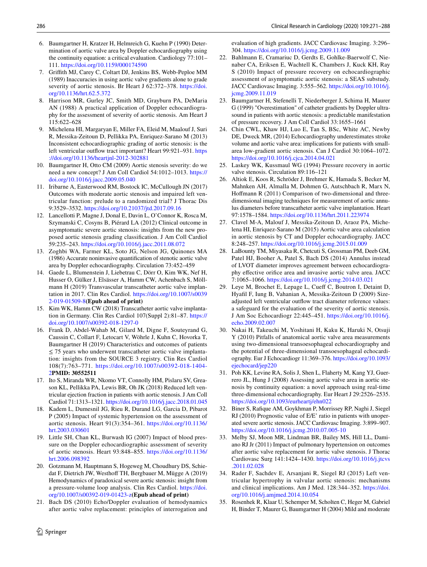- <span id="page-15-0"></span>6. Baumgartner H, Kratzer H, Helmreich G, Kuehn P (1990) Determination of aortic valve area by Doppler echocardiography using the continuity equation: a critical evaluation. Cardiology 77:101– 111.<https://doi.org/10.1159/000174590>
- 7. Grifth MJ, Carey C, Coltart DJ, Jenkins BS, Webb-Peploe MM (1989) Inaccuracies in using aortic valve gradients alone to grade severity of aortic stenosis. Br Heart J 62:372–378. [https://doi.](https://doi.org/10.1136/hrt.62.5.372) [org/10.1136/hrt.62.5.372](https://doi.org/10.1136/hrt.62.5.372)
- <span id="page-15-5"></span>8. Harrison MR, Gurley JC, Smith MD, Grayburn PA, DeMaria AN (1988) A practical application of Doppler echocardiography for the assessment of severity of aortic stenosis. Am Heart J 115:622–628
- <span id="page-15-1"></span>9. Michelena HI, Margaryan E, Miller FA, Eleid M, Maalouf J, Suri R, Messika-Zeitoun D, Pellikka PA, Enriquez-Sarano M (2013) Inconsistent echocardiographic grading of aortic stenosis: is the left ventricular outflow tract important? Heart 99:921-931. [https](https://doi.org/10.1136/heartjnl-2012-302881) [://doi.org/10.1136/heartjnl-2012-302881](https://doi.org/10.1136/heartjnl-2012-302881)
- <span id="page-15-2"></span>10. Baumgartner H, Otto CM (2009) Aortic stenosis severity: do we need a new concept? J Am Coll Cardiol 54:1012–1013. [https://](https://doi.org/10.1016/j.jacc.2009.05.040) [doi.org/10.1016/j.jacc.2009.05.040](https://doi.org/10.1016/j.jacc.2009.05.040)
- <span id="page-15-3"></span>11. Iribarne A, Easterwood RM, Bostock IC, McCullough JN (2017) Outcomes with moderate aortic stenosis and impaired left ventricular function: prelude to a randomized trial? J Thorac Dis 9:3529–3532. <https://doi.org/10.21037/jtd.2017.09.16>
- <span id="page-15-4"></span>12. Lancellotti P, Magne J, Donal E, Davin L, O'Connor K, Rosca M, Szymanski C, Cosyns B, Piérard LA (2012) Clinical outcome in asymptomatic severe aortic stenosis: insights from the new proposed aortic stenosis grading classifcation. J Am Coll Cardiol 59:235–243.<https://doi.org/10.1016/j.jacc.2011.08.072>
- <span id="page-15-6"></span>13. Zoghbi WA, Farmer KL, Soto JG, Nelson JG, Quinones MA (1986) Accurate noninvasive quantifcation of stenotic aortic valve area by Doppler echocardiography. Circulation 73:452–459
- <span id="page-15-7"></span>14. Gaede L, Blumenstein J, Liebetrau C, Dörr O, Kim WK, Nef H, Husser O, Gülker J, Elsässer A, Hamm CW, Achenbach S, Möllmann H (2019) Transvascular transcatheter aortic valve implantation in 2017. Clin Res Cardiol. [https://doi.org/10.1007/s0039](https://doi.org/10.1007/s00392-019-01509-8) [2-019-01509-8](https://doi.org/10.1007/s00392-019-01509-8)**(Epub ahead of print)**
- 15. Kim WK, Hamm CW (2018) Transcatheter aortic valve implantation in Germany. Clin Res Cardiol 107(Suppl 2):81–87. [https://](https://doi.org/10.1007/s00392-018-1297-0) [doi.org/10.1007/s00392-018-1297-0](https://doi.org/10.1007/s00392-018-1297-0)
- <span id="page-15-8"></span>16. Frank D, Abdel-Wahab M, Gilard M, Digne F, Souteyrand G, Caussin C, Collart F, Letocart V, Wöhrle J, Kuhn C, Hovorka T, Baumgartner H (2019) Characteristics and outcomes of patients  $\leq$  75 years who underwent transcatheter aortic valve implantation: insights from the SOURCE 3 registry. Clin Res Cardiol 108(7):763–771. [https://doi.org/10.1007/s00392-018-1404-](https://doi.org/10.1007/s00392-018-1404-2) [2](https://doi.org/10.1007/s00392-018-1404-2)**PMID: 30552511**
- <span id="page-15-9"></span>17. Ito S, Miranda WR, Nkomo VT, Connolly HM, Pislaru SV, Greason KL, Pellikka PA, Lewis BR, Oh JK (2018) Reduced left ventricular ejection fraction in patients with aortic stenosis. J Am Coll Cardiol 71:1313–1321.<https://doi.org/10.1016/j.jacc.2018.01.045>
- 18. Kadem L, Dumesnil JG, Rieu R, Durand LG, Garcia D, Pibarot P (2005) Impact of systemic hypertension on the assessment of aortic stenosis. Heart 91(3):354–361. [https://doi.org/10.1136/](https://doi.org/10.1136/hrt.2003.030601) [hrt.2003.030601](https://doi.org/10.1136/hrt.2003.030601)
- 19. Little SH, Chan KL, Burwash IG (2007) Impact of blood pressure on the Doppler echocardiographic assessment of severity of aortic stenosis. Heart 93:848–855. [https://doi.org/10.1136/](https://doi.org/10.1136/hrt.2006.098392) [hrt.2006.098392](https://doi.org/10.1136/hrt.2006.098392)
- <span id="page-15-10"></span>20. Gotzmann M, Hauptmann S, Hogeweg M, Choudhury DS, Schiedat F, Dietrich JW, Westhoff TH, Bergbauer M, Mügge A (2019) Hemodynamics of paradoxical severe aortic stenosis: insight from a pressure-volume loop analysis. Clin Res Cardiol. [https://doi.](https://doi.org/10.1007/s00392-019-01423-z) [org/10.1007/s00392-019-01423-z](https://doi.org/10.1007/s00392-019-01423-z)**(Epub ahead of print)**
- <span id="page-15-11"></span>21. Bach DS (2010) Echo/Doppler evaluation of hemodynamics after aortic valve replacement: principles of interrogation and

 $\circled{2}$  Springer

evaluation of high gradients. JACC Cardiovasc Imaging. 3:296– 304.<https://doi.org/10.1016/j.jcmg.2009.11.009>

- <span id="page-15-19"></span>22. Bahlmann E, Cramariuc D, Gerdts E, Gohlke-Baerwolf C, Nienaber CA, Eriksen E, Wachtell K, Chambers J, Kuck KH, Ray S (2010) Impact of pressure recovery on echocardiographic assessment of asymptomatic aortic stenosis: a SEAS substudy. JACC Cardiovasc Imaging. 3:555–562. [https://doi.org/10.1016/j.](https://doi.org/10.1016/j.jcmg.2009.11.019) [jcmg.2009.11.019](https://doi.org/10.1016/j.jcmg.2009.11.019)
- <span id="page-15-13"></span>23. Baumgartner H, Stefenelli T, Niederberger J, Schima H, Maurer G (1999) "Overestimation" of catheter gradients by Doppler ultrasound in patients with aortic stenosis: a predictable manifestation of pressure recovery. J Am Coll Cardiol 33:1655–1661
- <span id="page-15-12"></span>24. Chin CWL, Khaw HJ, Luo E, Tan S, BSc, White AC, Newby DE, Dweck MR, (2014) Echocardiography underestimates stroke volume and aortic valve area: implications for patients with smallarea low-gradient aortic stenosis. Can J Cardiol 30:1064–1072. <https://doi.org/10.1016/j.cjca.2014.04.021>
- <span id="page-15-14"></span>25. Laskey WK, Kussmaul WG (1994) Pressure recovery in aortic valve stenosis. Circulation 89:116–121
- <span id="page-15-15"></span>26. Altiok E, Koos R, Schröder J, Brehmer K, Hamada S, Becker M, Mahnken AH, Almalla M, Dohmen G, Autschbach R, Marx N, Hoffmann R (2011) Comparison of two-dimensional and threedimensional imaging techniques for measurement of aortic annulus diameters before transcatheter aortic valve implantation. Heart 97:1578–1584.<https://doi.org/10.1136/hrt.2011.223974>
- <span id="page-15-20"></span>27. Clavel M-A, Malouf J, Messika-Zeitoun D, Araoz PA, Michelena HI, Enriquez-Sarano M (2015) Aortic valve area calculation in aortic stenosis by CT and Doppler echocardiography. JACC 8:248–257.<https://doi.org/10.1016/j.jcmg.2015.01.009>
- 28. LaBounty TM, Miyasaka R, Chetcuti S, Grossman PM, Deeb GM, Patel HJ, Booher A, Patel S, Bach DS (2014) Annulus instead of LVOT diameter improves agreement between echocardiography efective orifce area and invasive aortic valve area. JACC 7:1065–1066. <https://doi.org/10.1016/j.jcmg.2014.03.021>
- 29. Leye M, Brochet E, Lepage L, Cueff C, Boutron I, Detaint D, Hyafl F, Iung B, Vahanian A, Messika-Zeitoun D (2009) Sizeadjusted left ventricular outfow tract diameter reference values: a safeguard for the evaluation of the severity of aortic stenosis. J Am Soc Echocardiogr 22:445–451. [https://doi.org/10.1016/j.](https://doi.org/10.1016/j.echo.2009.02.007) [echo.2009.02.007](https://doi.org/10.1016/j.echo.2009.02.007)
- 30. Nakai H, Takeuchi M, Yoshitani H, Kaku K, Haruki N, Otsuji Y (2010) Pitfalls of anatomical aortic valve area measurements using two-dimensional transoesophageal echocardiography and the potential of three-dimensional transoesophageal echocardiography. Eur J Echocardiogr 11:369–376. [https://doi.org/10.1093/](https://doi.org/10.1093/ejechocard/jep220) [ejechocard/jep220](https://doi.org/10.1093/ejechocard/jep220)
- <span id="page-15-16"></span>31. Poh KK, Levine RA, Solis J, Shen L, Flaherty M, Kang YJ, Guerrero JL, Hung J (2008) Assessing aortic valve area in aortic stenosis by continuity equation: a novel approach using real-time three-dimensional echocardiography. Eur Heart J 29:2526–2535. <https://doi.org/10.1093/eurheartj/ehn022>
- <span id="page-15-17"></span>32. Biner S, Rafque AM, Goykhman P, Morrissey RP, Naghi J, Siegel RJ (2010) Prognostic value of E/E' ratio in patients with unoperated severe aortic stenosis. JACC Cardiovasc Imaging. 3:899–907. <https://doi.org/10.1016/j.jcmg.2010.07.005-10>
- 33. Melby SJ, Moon MR, Lindman BR, Bailey MS, Hill LL, Damiano RJ Jr (2011) Impact of pulmonary hypertension on outcomes after aortic valve replacement for aortic valve stenosis. J Thorac Cardiovasc Surg 141:1424–1430. [https://doi.org/10.1016/j.jtcvs](https://doi.org/10.1016/j.jtcvs.2011.02.028) [.2011.02.028](https://doi.org/10.1016/j.jtcvs.2011.02.028)
- 34. Rader F, Sachdev E, Arsanjani R, Siegel RJ (2015) Left ventricular hypertrophy in valvular aortic stenosis: mechanisms and clinical implications. Am J Med. 128:344–352. [https://doi.](https://doi.org/10.1016/j.amjmed.2014.10.054) [org/10.1016/j.amjmed.2014.10.054](https://doi.org/10.1016/j.amjmed.2014.10.054)
- <span id="page-15-18"></span>35. Rosenhek R, Klaar U, Schemper M, Scholten C, Heger M, Gabriel H, Binder T, Maurer G, Baumgartner H (2004) Mild and moderate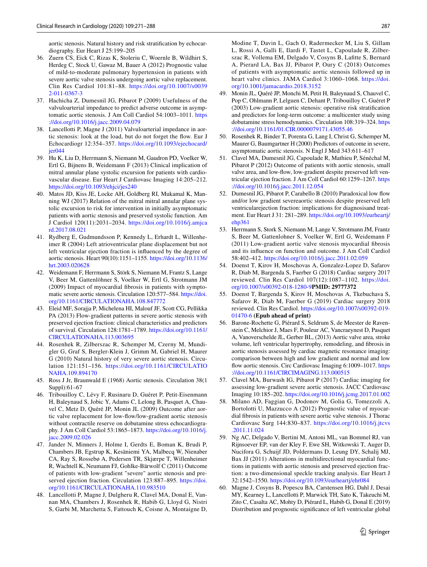aortic stenosis. Natural history and risk stratifcation by echocardiography. Eur Heart J 25:199–205

- <span id="page-16-0"></span>36. Zuern CS, Eick C, Rizas K, Stoleriu C, Woernle B, Wildhirt S, Herdeg C, Stock U, Gawaz M, Bauer A (2012) Prognostic value of mild-to-moderate pulmonary hypertension in patients with severe aortic valve stenosis undergoing aortic valve replacement. Clin Res Cardiol 101:81–88. [https://doi.org/10.1007/s0039](https://doi.org/10.1007/s00392-011-0367-3) [2-011-0367-3](https://doi.org/10.1007/s00392-011-0367-3)
- <span id="page-16-1"></span>37. Hachicha Z, Dumesnil JG, Pibarot P (2009) Usefulness of the valvuloarterial impedance to predict adverse outcome in asymptomatic aortic stenosis. J Am Coll Cardiol 54:1003–1011. [https](https://doi.org/10.1016/j.jacc.2009.04.079) [://doi.org/10.1016/j.jacc.2009.04.079](https://doi.org/10.1016/j.jacc.2009.04.079)
- <span id="page-16-2"></span>38. Lancellotti P, Magne J (2011) Valvuloarterial impedance in aortic stenosis: look at the load, but do not forget the fow. Eur J Echocardiogr 12:354–357. [https://doi.org/10.1093/ejechocard/](https://doi.org/10.1093/ejechocard/jer044) [jer044](https://doi.org/10.1093/ejechocard/jer044)
- <span id="page-16-3"></span>39. Hu K, Liu D, Herrmann S, Niemann M, Gaudron PD, Voelker W, Ertl G, Bijnens B, Weidemann F (2013) Clinical implication of mitral annular plane systolic excursion for patients with cardiovascular disease. Eur Heart J Cardiovasc Imaging 14:205–212. <https://doi.org/10.1093/ehjci/jes240>
- 40. Matos JD, Kiss JE, Locke AH, Goldberg RI, Mukamal K, Manning WJ (2017) Relation of the mitral mitral annular plane systolic excursion to risk for intervention in initially asymptomatic patients with aortic stenosis and preserved systolic function. Am J Cardiol 120(11):2031–2034. [https://doi.org/10.1016/j.amjca](https://doi.org/10.1016/j.amjcard.2017.08.021) [rd.2017.08.021](https://doi.org/10.1016/j.amjcard.2017.08.021)
- <span id="page-16-19"></span>41. Rydberg E, Gudmundsson P, Kennedy L, Erhardt L, Willenheimer R (2004) Left atrioventricular plane displacement but not left ventricular ejection fraction is infuenced by the degree of aortic stenosis. Heart 90(10):1151–1155. [https://doi.org/10.1136/](https://doi.org/10.1136/hrt.2003.020628) [hrt.2003.020628](https://doi.org/10.1136/hrt.2003.020628)
- <span id="page-16-4"></span>42. Weidemann F, Herrmann S, Störk S, Niemann M, Frantz S, Lange V, Beer M, Gattenlöhner S, Voelker W, Ertl G, Strotmann JM (2009) Impact of myocardial fbrosis in patients with symptomatic severe aortic stenosis. Circulation 120:577–584. [https://doi.](https://doi.org/10.1161/CIRCULATIONAHA.108.847772) [org/10.1161/CIRCULATIONAHA.108.847772](https://doi.org/10.1161/CIRCULATIONAHA.108.847772)
- 43. Eleid MF, Sorajja P, Michelena HI, Malouf JF, Scott CG, Pellikka PA (2013) Flow-gradient patterns in severe aortic stenosis with preserved ejection fraction: clinical characteristics and predictors of survival. Circulation 128:1781–1789. [https://doi.org/10.1161/](https://doi.org/10.1161/CIRCULATIONAHA.113.003695) [CIRCULATIONAHA.113.003695](https://doi.org/10.1161/CIRCULATIONAHA.113.003695)
- <span id="page-16-6"></span>44. Rosenhek R, Zilberszac R, Schemper M, Czerny M, Mundigler G, Graf S, Bergler-Klein J, Grimm M, Gabriel H, Maurer G (2010) Natural history of very severe aortic stenosis. Circulation 121:151–156. [https://doi.org/10.1161/CIRCULATIO](https://doi.org/10.1161/CIRCULATIONAHA.109.894170) [NAHA.109.894170](https://doi.org/10.1161/CIRCULATIONAHA.109.894170)
- 45. Ross J Jr, Braunwald E (1968) Aortic stenosis. Circulation 38(1 Suppl):61–67
- <span id="page-16-5"></span>46. Tribouilloy C, Lévy F, Rusinaru D, Guéret P, Petit-Eisenmann H, Baleynaud S, Jobic Y, Adams C, Lelong B, Pasquet A, Chauvel C, Metz D, Quéré JP, Monin JL (2009) Outcome after aortic valve replacement for low-fow/low-gradient aortic stenosis without contractile reserve on dobutamine stress echocardiography. J Am Coll Cardiol 53:1865–1873. [https://doi.org/10.1016/j.](https://doi.org/10.1016/j.jacc.2009.02.026) [jacc.2009.02.026](https://doi.org/10.1016/j.jacc.2009.02.026)
- <span id="page-16-7"></span>47. Jander N, Minners J, Holme I, Gerdts E, Boman K, Brudi P, Chambers JB, Egstrup K, Kesäniemi YA, Malbecq W, Nienaber CA, Ray S, Rossebø A, Pedersen TR, Skjærpe T, Willenheimer R, Wachtell K, Neumann FJ, Gohlke-Bärwolf C (2011) Outcome of patients with low-gradient "severe" aortic stenosis and preserved ejection fraction. Circulation 123:887–895. [https://doi.](https://doi.org/10.1161/CIRCULATIONAHA.110.983510) [org/10.1161/CIRCULATIONAHA.110.983510](https://doi.org/10.1161/CIRCULATIONAHA.110.983510)
- <span id="page-16-20"></span>48. Lancellotti P, Magne J, Dulgheru R, Clavel MA, Donal E, Vannan MA, Chambers J, Rosenhek R, Habib G, Lloyd G, Nistri S, Garbi M, Marchetta S, Fattouch K, Coisne A, Montaigne D,

Modine T, Davin L, Gach O, Radermecker M, Liu S, Gillam L, Rossi A, Galli E, Ilardi F, Tastet L, Capoulade R, Zilberszac R, Vollema EM, Delgado V, Cosyns B, Laftte S, Bernard A, Pierard LA, Bax JJ, Pibarot P, Oury C (2018) Outcomes of patients with asymptomatic aortic stenosis followed up in heart valve clinics. JAMA Cardiol 3:1060–1068. [https://doi.](https://doi.org/10.1001/jamacardio.2018.3152) [org/10.1001/jamacardio.2018.3152](https://doi.org/10.1001/jamacardio.2018.3152)

- 49. Monin JL, Quéré JP, Monchi M, Petit H, Baleynaud S, Chauvel C, Pop C, Ohlmann P, Lelguen C, Dehant P, Tribouilloy C, Guéret P (2003) Low-gradient aortic stenosis: operative risk stratifcation and predictors for long-term outcome: a multicenter study using dobutamine stress hemodynamics. Circulation 108:319–324. [https](https://doi.org/10.1161/01.CIR.0000079171.43055.46) [://doi.org/10.1161/01.CIR.0000079171.43055.46](https://doi.org/10.1161/01.CIR.0000079171.43055.46)
- <span id="page-16-15"></span>50. Rosenhek R, Binder T, Porenta G, Lang I, Christ G, Schemper M, Maurer G, Baumgartner H (2000) Predictors of outcome in severe, asymptomatic aortic stenosis. N Engl J Med 343:611–617
- <span id="page-16-8"></span>51. Clavel MA, Dumesnil JG, Capoulade R, Mathieu P, Sénéchal M, Pibarot P (2012) Outcome of patients with aortic stenosis, small valve area, and low-flow, low-gradient despite preserved left ventricular ejection fraction. J Am Coll Cardiol 60:1259–1267. [https](https://doi.org/10.1016/j.jacc.2011.12.054) [://doi.org/10.1016/j.jacc.2011.12.054](https://doi.org/10.1016/j.jacc.2011.12.054)
- <span id="page-16-9"></span>52. Dumesnil JG, Pibarot P, Carabello B (2010) Paradoxical low fow and/or low gradient severeaortic stenosis despite preserved left ventricularejection fraction: implications for diagnosisand treatment. Eur Heart J 31: 281–289. [https://doi.org/10.1093/eurheartj/](https://doi.org/10.1093/eurheartj/ehp361) [ehp361](https://doi.org/10.1093/eurheartj/ehp361)
- <span id="page-16-10"></span>53. Herrmann S, Stork S, Niemann M, Lange V, Strotmann JM, Frantz S, Beer M, Gattenlohner S, Voelker W, Ertl G, Weidemann F (2011) Low-gradient aortic valve stenosis myocardial fbrosis and its infuence on function and outcome. J Am Coll Cardiol 58:402–412.<https://doi.org/10.1016/j.jacc.2011.02.059>
- <span id="page-16-11"></span>54. Doenst T, Kirov H, Moschovas A, Gonzalez-Lopez D, Safarov R, Diab M, Bargenda S, Faerber G (2018) Cardiac surgery 2017 reviewed. Clin Res Cardiol 107(12):1087–1102. [https://doi.](https://doi.org/10.1007/s00392-018-1280-9) [org/10.1007/s00392-018-1280-9](https://doi.org/10.1007/s00392-018-1280-9)**PMID: 29777372**
- <span id="page-16-12"></span>55. Doenst T, Bargenda S, Kirov H, Moschovas A, Tkebuchava S, Safarov R, Diab M, Faerber G (2019) Cardiac surgery 2018 reviewed. Clin Res Cardiol. [https://doi.org/10.1007/s00392-019-](https://doi.org/10.1007/s00392-019-01470-6) [01470-6](https://doi.org/10.1007/s00392-019-01470-6) **(Epub ahead of print)**
- <span id="page-16-13"></span>56. Barone-Rochette G, Piérard S, Seldrum S, de Meester de Ravenstein C, Melchior J, Maes F, Pouleur AC, Vancraeynest D, Pasquet A, Vanoverschelde JL, Gerber BL, (2013) Aortic valve area, stroke volume, left ventricular hypertrophy, remodeling, and fbrosis in aortic stenosis assessed by cardiac magnetic resonance imaging: comparison between high and low gradient and normal and low flow aortic stenosis. Circ Cardiovasc Imaging 6:1009–1017. [https](https://doi.org/10.1161/CIRCIMAGING.113.000515) [://doi.org/10.1161/CIRCIMAGING.113.000515](https://doi.org/10.1161/CIRCIMAGING.113.000515)
- <span id="page-16-14"></span>57. Clavel MA, Burwash IG, Pibarot P (2017) Cardiac imaging for assessing low-gradient severe aortic stenosis. JACC Cardiovasc Imaging 10:185–202.<https://doi.org/10.1016/j.jcmg.2017.01.002>
- <span id="page-16-16"></span>58. Milano AD, Faggian G, Dodonov M, Golia G, Tomezzoli A, Bortolotti U, Mazzucco A (2012) Prognostic value of myocardial fbrosis in patients with severe aortic valve stenosis. J Thorac Cardiovasc Surg 144:830–837. [https://doi.org/10.1016/j.jtcvs](https://doi.org/10.1016/j.jtcvs.2011.11.024) [.2011.11.024](https://doi.org/10.1016/j.jtcvs.2011.11.024)
- <span id="page-16-17"></span>59. Ng AC, Delgado V, Bertini M, Antoni ML, van Bommel RJ, van Rijnsoever EP, van der Kley F, Ewe SH, Witkowski T, Auger D, Nucifora G, Schuijf JD, Poldermans D, Leung DY, Schalij MJ, Bax JJ (2011) Alterations in multidirectional myocardial functions in patients with aortic stenosis and preserved ejection fraction: a two-dimensional speckle tracking analysis. Eur Heart J 32:1542–1550.<https://doi.org/10.1093/eurheartj/ehr084>
- <span id="page-16-18"></span>60. Magne J, Cosyns B, Popescu BA, Carstensen HG, Dahl J, Desai MY, Kearney L, Lancellotti P, Marwick TH, Sato K, Takeuchi M, Zito C, Casalta AC, Mohty D, Piérard L, Habib G, Donal E (2019) Distribution and prognostic signifcance of left ventricular global